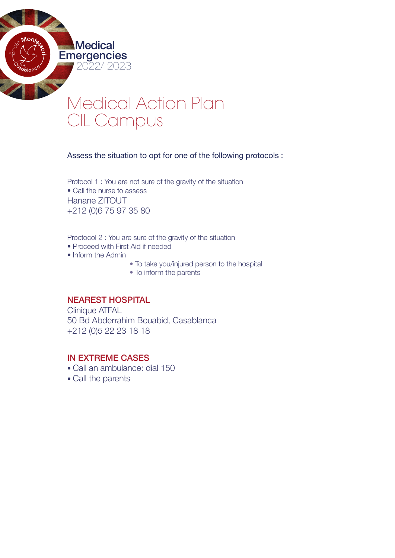

Assess the situation to opt for one of the following protocols :

Protocol 1 : You are not sure of the gravity of the situation • Call the nurse to assess Hanane ZITOUT +212 (0)6 75 97 35 80

Proctocol 2 : You are sure of the gravity of the situation

- Proceed with First Aid if needed
- Inform the Admin

**Emergencies** 

**Medical** 

2022/ 2023

- To take you/injured person to the hospital
- To inform the parents

#### NEAREST HOSPITAL

Clinique ATFAL 50 Bd Abderrahim Bouabid, Casablanca +212 (0)5 22 23 18 18

## IN EXTREME CASES

- Call an ambulance: dial 150
- Call the parents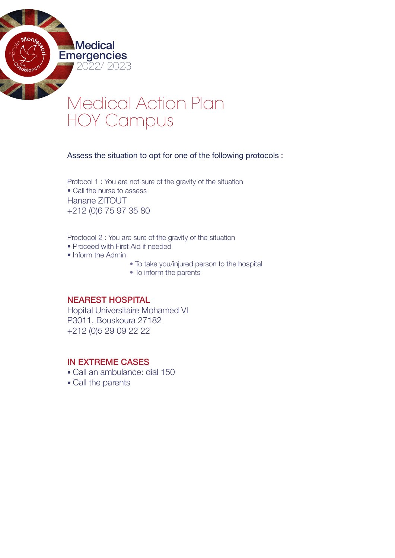

Assess the situation to opt for one of the following protocols :

Protocol 1 : You are not sure of the gravity of the situation • Call the nurse to assess Hanane ZITOUT +212 (0)6 75 97 35 80

Proctocol 2 : You are sure of the gravity of the situation

- Proceed with First Aid if needed
- Inform the Admin

**Emergencies** 

**Medical** 

2022/ 2023

- To take you/injured person to the hospital
- To inform the parents

### NEAREST HOSPITAL

Hopital Universitaire Mohamed VI P3011, Bouskoura 27182 +212 (0)5 29 09 22 22

# IN EXTREME CASES

- Call an ambulance: dial 150
- Call the parents